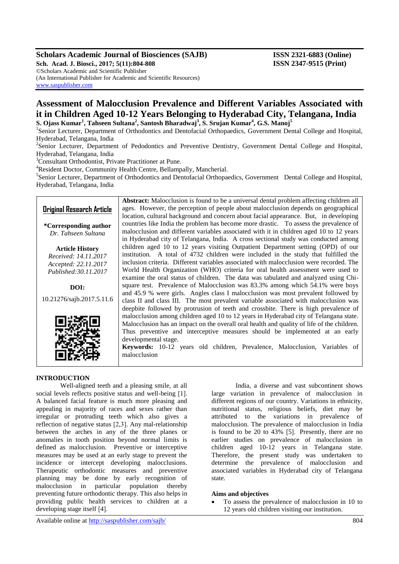### **Scholars Academic Journal of Biosciences (SAJB) ISSN 2321-6883 (Online)**

**Sch. Acad. J. Biosci., 2017; 5(11):804-808 ISSN 2347-9515 (Print)** ©Scholars Academic and Scientific Publisher (An International Publisher for Academic and Scientific Resources) [www.saspublisher.com](http://www.saspublisher.com/)

# **Assessment of Malocclusion Prevalence and Different Variables Associated with it in Children Aged 10-12 Years Belonging to Hyderabad City, Telangana, India S. Ojass Kumar<sup>1</sup> , Tahseen Sultana<sup>2</sup> , Santosh Bharadwaj<sup>3</sup> , S. Srujan Kumar<sup>4</sup> , G.S. Manoj<sup>5</sup>**

<sup>1</sup>Senior Lecturer, Department of Orthodontics and Dentofacial Orthopaedics, Government Dental College and Hospital, Hyderabad, Telangana, India

<sup>2</sup>Senior Lecturer, Department of Pedodontics and Preventive Dentistry, Government Dental College and Hospital, Hyderabad, Telangana, India

<sup>3</sup>Consultant Orthodontist, Private Practitioner at Pune.

<sup>4</sup>Resident Doctor, Community Health Centre, Bellampally, Mancherial.

<sup>5</sup>Senior Lecturer, Department of Orthodontics and Dentofacial Orthopaedics, Government Dental College and Hospital, Hyderabad, Telangana, India

## **Original Research Article**

**\*Corresponding author** *Dr. Tahseen Sultana*

**Article History** *Received: 14.11.2017 Accepted: 22.11.2017 Published:30.11.2017*

**DOI:** 10.21276/sajb.2017.5.11.6



**Abstract:** Malocclusion is found to be a universal dental problem affecting children all ages. However, the perception of people about malocclusion depends on geographical location, cultural background and concern about facial appearance. But, in developing countries like India the problem has become more drastic. To assess the prevalence of malocclusion and different variables associated with it in children aged 10 to 12 years in Hyderabad city of Telangana, India.A cross sectional study was conducted among children aged 10 to 12 years visiting Outpatient Department setting (OPD) of our institution. A total of 4732 children were included in the study that fulfilled the inclusion criteria. Different variables associated with malocclusion were recorded. The World Health Organization (WHO) criteria for oral health assessment were used to examine the oral status of children. The data was tabulated and analyzed using Chisquare test. Prevalence of Malocclusion was 83.3% among which 54.1% were boys and 45.9 % were girls. Angles class I malocclusion was most prevalent followed by class II and class III. The most prevalent variable associated with malocclusion was deepbite followed by protrusion of teeth and crossbite. There is high prevalence of malocclusion among children aged 10 to 12 years in Hyderabad city of Telangana state. Malocclusion has an impact on the overall oral health and quality of life of the children. Thus preventive and interceptive measures should be implemented at an early developmental stage.

**Keywords:** 10-12 years old children, Prevalence, Malocclusion, Variables of malocclusion

### **INTRODUCTION**

Well-aligned teeth and a pleasing smile, at all social levels reflects positive status and well-being [1]. A balanced facial feature is much more pleasing and appealing in majority of races and sexes rather than irregular or protruding teeth which also gives a reflection of negative status [2,3]. Any mal-relationship between the arches in any of the three planes or anomalies in tooth position beyond normal limits is defined as malocclusion. Preventive or interceptive measures may be used at an early stage to prevent the incidence or intercept developing malocclusions. Therapeutic orthodontic measures and preventive planning may be done by early recognition of malocclusion in particular population thereby preventing future orthodontic therapy. This also helps in providing public health services to children at a developing stage itself [4].

India, a diverse and vast subcontinent shows large variation in prevalence of malocclusion in different regions of our country. Variations in ethnicity, nutritional status, religious beliefs, diet may be attributed to the variations in prevalence of malocclusion. The prevalence of malocclusion in India is found to be 20 to 43% [5]. Presently, there are no earlier studies on prevalence of malocclusion in children aged 10-12 years in Telangana state. Therefore, the present study was undertaken to determine the prevalence of malocclusion and associated variables in Hyderabad city of Telangana state.

### **Aims and objectives**

 To assess the prevalence of malocclusion in 10 to 12 years old children visiting our institution.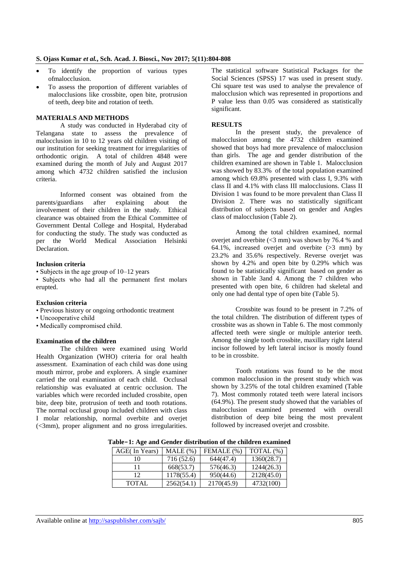- To identify the proportion of various types ofmalocclusion.
- To assess the proportion of different variables of malocclusions like crossbite, open bite, protrusion of teeth, deep bite and rotation of teeth.

### **MATERIALS AND METHODS**

A study was conducted in Hyderabad city of Telangana state to assess the prevalence of malocclusion in 10 to 12 years old children visiting of our institution for seeking treatment for irregularities of orthodontic origin. A total of children 4848 were examined during the month of July and August 2017 among which 4732 children satisfied the inclusion criteria.

Informed consent was obtained from the parents/guardians after explaining about the involvement of their children in the study. Ethical clearance was obtained from the Ethical Committee of Government Dental College and Hospital, Hyderabad for conducting the study. The study was conducted as per the World Medical Association Helsinki Declaration.

#### **Inclusion criteria**

• Subjects in the age group of 10–12 years

• Subjects who had all the permanent first molars erupted.

### **Exclusion criteria**

- Previous history or ongoing orthodontic treatment
- Uncooperative child
- Medically compromised child.

### **Examination of the children**

The children were examined using World Health Organization (WHO) criteria for oral health assessment. Examination of each child was done using mouth mirror, probe and explorers. A single examiner carried the oral examination of each child. Occlusal relationship was evaluated at centric occlusion. The variables which were recorded included crossbite, open bite, deep bite, protrusion of teeth and tooth rotations. The normal occlusal group included children with class I molar relationship, normal overbite and overjet (<3mm), proper alignment and no gross irregularities.

The statistical software Statistical Packages for the Social Sciences (SPSS) 17 was used in present study. Chi square test was used to analyse the prevalence of malocclusion which was represented in proportions and P value less than 0.05 was considered as statistically significant.

#### **RESULTS**

In the present study, the prevalence of malocclusion among the 4732 children examined showed that boys had more prevalence of malocclusion than girls. The age and gender distribution of the children examined are shown in Table 1. Malocclusion was showed by 83.3% of the total population examined among which 69.8% presented with class I, 9.3% with class II and 4.1% with class III malocclusions. Class II Division 1 was found to be more prevalent than Class II Division 2. There was no statistically significant distribution of subjects based on gender and Angles class of malocclusion (Table 2).

Among the total children examined, normal overjet and overbite  $(<3$  mm) was shown by 76.4 % and 64.1%, increased overjet and overbite  $(>3$  mm) by 23.2% and 35.6% respectively. Reverse overjet was shown by 4.2% and open bite by 0.29% which was found to be statistically significant based on gender as shown in Table 3and 4. Among the 7 children who presented with open bite, 6 children had skeletal and only one had dental type of open bite (Table 5).

Crossbite was found to be present in 7.2% of the total children. The distribution of different types of crossbite was as shown in Table 6. The most commonly affected teeth were single or multiple anterior teeth. Among the single tooth crossbite, maxillary right lateral incisor followed by left lateral incisor is mostly found to be in crossbite.

Tooth rotations was found to be the most common malocclusion in the present study which was shown by 3.25% of the total children examined (Table 7). Most commonly rotated teeth were lateral incisors (64.9%). The present study showed that the variables of malocclusion examined presented with overall distribution of deep bite being the most prevalent followed by increased overjet and crossbite.

| AGE(In Years) | $MALE(\% )$ | FEMALE (%) | TOTAL (%)  |
|---------------|-------------|------------|------------|
| 10            | 716 (52.6)  | 644(47.4)  | 1360(28.7) |
|               | 668(53.7)   | 576(46.3)  | 1244(26.3) |
| 12            | 1178(55.4)  | 950(44.6)  | 2128(45.0) |
| <b>TOTAL</b>  | 2562(54.1)  | 2170(45.9) | 4732(100)  |

**Table-1: Age and Gender distribution of the children examined**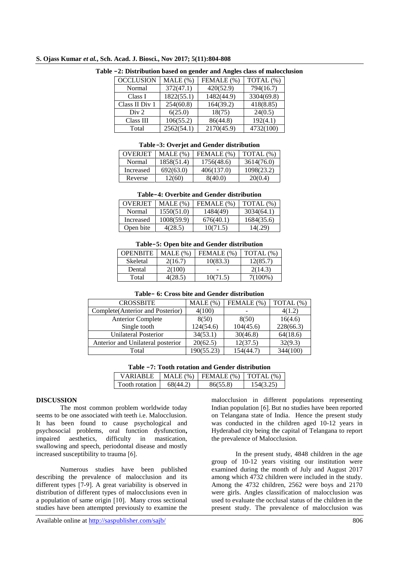|  |  |  |  |  |  | S. Ojass Kumar et al., Sch. Acad. J. Biosci., Nov 2017; 5(11):804-808 |  |
|--|--|--|--|--|--|-----------------------------------------------------------------------|--|
|--|--|--|--|--|--|-----------------------------------------------------------------------|--|

| <b>OCCLUSION</b> | MALE (%)   | FEMALE (%) | TOTAL (%)  |
|------------------|------------|------------|------------|
| Normal           | 372(47.1)  | 420(52.9)  | 794(16.7)  |
| Class I          | 1822(55.1) | 1482(44.9) | 3304(69.8) |
| Class II Div 1   | 254(60.8)  | 164(39.2)  | 418(8.85)  |
| Div 2            | 6(25.0)    | 18(75)     | 24(0.5)    |
| Class III        | 106(55.2)  | 86(44.8)   | 192(4.1)   |
| Total            | 2562(54.1) | 2170(45.9) | 4732(100)  |

### **Table -2: Distribution based on gender and Angles class of malocclusion**

#### **Table-3: Overjet and Gender distribution**

| <b>OVERJET</b> | $MALE(\%)$ | FEMALE (%) | TOTAL $(\%)$ |
|----------------|------------|------------|--------------|
| Normal         | 1858(51.4) | 1756(48.6) | 3614(76.0)   |
| Increased      | 692(63.0)  | 406(137.0) | 1098(23.2)   |
| Reverse        | 12(60)     | 8(40.0)    | 20(0.4)      |

### **Table-4: Overbite and Gender distribution**

| <b>OVERIET</b> | $MALE(\%)$ | FEMALE (%) | TOTAL $(\%)$ |
|----------------|------------|------------|--------------|
| Normal         | 1550(51.0) | 1484(49)   | 3034(64.1)   |
| Increased      | 1008(59.9) | 676(40.1)  | 1684(35.6)   |
| Open bite      | 4(28.5)    | 10(71.5)   | 140.29       |

#### **Table-5: Open bite and Gender distribution**

| <b>OPENBITE</b> | $MALE(\%)$ | FEMALE (%) | TOTAL $(\%)$ |
|-----------------|------------|------------|--------------|
| Skeletal        | 2(16.7)    | 10(83.3)   | 12(85.7)     |
| Dental          | 2(100)     |            | 2(14.3)      |
| Total           | 4(28.5)    | 10(71.5)   | 7(100%)      |

| Table- 6: Cross bite and Gender distribution |  |
|----------------------------------------------|--|
|----------------------------------------------|--|

| <b>CROSSBITE</b>                  | $MALE$ (%) | FEMALE (%) | TOTAL (%) |
|-----------------------------------|------------|------------|-----------|
| Complete(Anterior and Posterior)  | 4(100)     |            | 4(1.2)    |
| <b>Anterior Complete</b>          | 8(50)      | 8(50)      | 16(4.6)   |
| Single tooth                      | 124(54.6)  | 104(45.6)  | 228(66.3) |
| <b>Unilateral Posterior</b>       | 34(53.1)   | 30(46.8)   | 64(18.6)  |
| Anterior and Unilateral posterior | 20(62.5)   | 12(37.5)   | 32(9.3)   |
| Total                             | 190(55.23) | 154(44.7)  | 344(100)  |

| Table -7: Tooth rotation and Gender distribution |  |
|--------------------------------------------------|--|
|--------------------------------------------------|--|

| VARIARI F      | MALE(%)  | FEMALE $(\%)$   TOTAL $(\%)$ |           |
|----------------|----------|------------------------------|-----------|
| Tooth rotation | 68(44.2) | 86(55.8)                     | 154(3.25) |

### **DISCUSSION**

The most common problem worldwide today seems to be one associated with teeth i.e. Malocclusion. It has been found to cause psychological and psychosocial problems, oral function dysfunction**,**  impaired aesthetics, difficulty in mastication, swallowing and speech, periodontal disease and mostly increased susceptibility to trauma [6].

Numerous studies have been published describing the prevalence of malocclusion and its different types [7-9]. A great variability is observed in distribution of different types of malocclusions even in a population of same origin [10].Many cross sectional studies have been attempted previously to examine the

malocclusion in different populations representing Indian population [6]. But no studies have been reported on Telangana state of India. Hence the present study was conducted in the children aged 10-12 years in Hyderabad city being the capital of Telangana to report the prevalence of Malocclusion.

In the present study, 4848 children in the age group of 10-12 years visiting our institution were examined during the month of July and August 2017 among which 4732 children were included in the study. Among the 4732 children, 2562 were boys and 2170 were girls. Angles classification of malocclusion was used to evaluate the occlusal status of the children in the present study. The prevalence of malocclusion was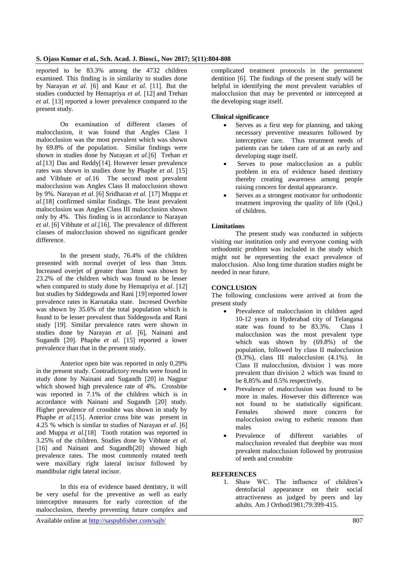reported to be 83.3% among the 4732 children examined. This finding is in similarity to studies done by Narayan *et al*. [6] and Kaur *et al*. [11]. But the studies conducted by Hemapriya *et al*. [12] and Trehan *et al*. [13] reported a lower prevalence compared to the present study.

On examination of different classes of malocclusion, it was found that Angles Class I malocclusion was the most prevalent which was shown by 69.8% of the population. Similar findings were shown in studies done by Narayan *et al*.[6] Trehan *et al*.[13] Das and Reddy[14]. However lesser prevalence rates was shown in studies done by Phaphe *et al*. [15] and Vibhute *et al*.16 The second most prevalent malocclusion was Angles Class II malocclusion shown by 9%. Narayan *et al.* [6] Sridharan *et al.* [17] Muppa *et al*.[18] confirmed similar findings. The least prevalent malocclusion was Angles Class III malocclusion shown only by 4%. This finding is in accordance to Narayan *et al*. [6] Vibhute *et al*.[16]. The prevalence of different classes of malocclusion showed no significant gender difference.

In the present study, 76.4% of the children presented with normal overjet of less than 3mm. Increased overjet of greater than 3mm was shown by 23.2% of the children which was found to be lesser when compared to study done by Hemapriya *et al*. [12] but studies by Siddegowda and Rani [19] reported lower prevalence rates in Karnataka state. Incresed Overbite was shown by 35.6% of the total population which is found to be lesser prevalent than Siddegowda and Rani study [19]. Similar prevalence rates were shown in studies done by Narayan *et al.* [6], Nainani and Sugandh [20]. Phaphe *et al*. [15] reported a lower prevalence than that in the present study.

Anterior open bite was reported in only 0.29% in the present study. Contradictory results were found in study done by Nainani and Sugandh [20] in Nagpur which showed high prevalence rate of 4%. Crossbite was reported in 7.1% of the children which is in accordance with Nainani and Sugandh [20] study. Higher prevalence of crossbite was shown in study by Phaphe *et al*.[15]. Anterior cross bite was present in 4.25 % which is similar to studies of Narayan *et al*. [6] and Muppa *et al*.[18] Tooth rotation was reported in 3.25% of the children. Studies done by Vibhute *et al*. [16] and Nainani and Sugandh<sup>[20]</sup> showed high prevalence rates. The most commonly rotated teeth were maxillary right lateral incisor followed by mandibular right lateral incisor.

In this era of evidence based dentistry, it will be very useful for the preventive as well as early interceptive measures for early correction of the malocclusion, thereby preventing future complex and

complicated treatment protocols in the permanent dentition [6]. The findings of the present study will be helpful in identifying the most prevalent variables of malocclusion that may be prevented or intercepted at the developing stage itself.

### **Clinical significance**

- Serves as a first step for planning, and taking necessary preventive measures followed by interceptive care. Thus treatment needs of patients can be taken care of at an early and developing stage itself.
- Serves to pose malocclusion as a public problem in era of evidence based dentistry thereby creating awareness among people raising concern for dental appearance.
- Serves as a strongest motivator for orthodontic treatment improving the quality of life (QoL) of children.

### **Limitations**

The present study was conducted in subjects visiting our institution only and everyone coming with orthodontic problem was included in the study which might not be representing the exact prevalence of malocclusion. Also long time duration studies might be needed in near future.

### **CONCLUSION**

The following conclusions were arrived at from the present study

- Prevalence of malocclusion in children aged 10-12 years in Hyderabad city of Telangana state was found to be 83.3%. Class I malocclusion was the most prevalent type which was shown by (69.8%) of the population, followed by class II malocclusion  $(9.3\%)$ , class III malocclusion  $(4.1\%)$ . In Class II malocclusion, division 1 was more prevalent than division 2 which was found to be 8.85% and 0.5% respectively.
- Prevalence of malocclusion was found to be more in males. However this difference was not found to be statistically significant. Females showed more concern for malocclusion owing to esthetic reasons than males
- Prevalence of different variables of malocclusion revealed that deepbite was most prevalent malocclusion followed by protrusion of teeth and crossbite

### **REFERENCES**

1. Shaw WC. The influence of children's dentofacial appearance on their social attractiveness as judged by peers and lay adults. Am J Orthod1981;79:399-415.